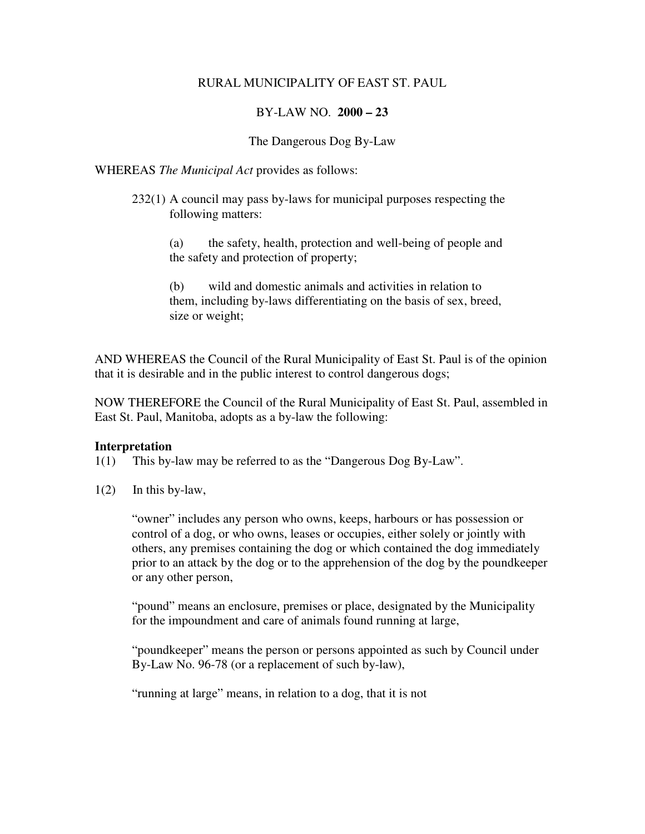#### RURAL MUNICIPALITY OF EAST ST. PAUL

## BY-LAW NO. **2000 – 23**

### The Dangerous Dog By-Law

#### WHEREAS *The Municipal Act* provides as follows:

- 232(1) A council may pass by-laws for municipal purposes respecting the following matters:
	- (a) the safety, health, protection and well-being of people and the safety and protection of property;

(b) wild and domestic animals and activities in relation to them, including by-laws differentiating on the basis of sex, breed, size or weight;

AND WHEREAS the Council of the Rural Municipality of East St. Paul is of the opinion that it is desirable and in the public interest to control dangerous dogs;

NOW THEREFORE the Council of the Rural Municipality of East St. Paul, assembled in East St. Paul, Manitoba, adopts as a by-law the following:

#### **Interpretation**

- 1(1) This by-law may be referred to as the "Dangerous Dog By-Law".
- 1(2) In this by-law,

 "owner" includes any person who owns, keeps, harbours or has possession or control of a dog, or who owns, leases or occupies, either solely or jointly with others, any premises containing the dog or which contained the dog immediately prior to an attack by the dog or to the apprehension of the dog by the poundkeeper or any other person,

"pound" means an enclosure, premises or place, designated by the Municipality for the impoundment and care of animals found running at large,

"poundkeeper" means the person or persons appointed as such by Council under By-Law No. 96-78 (or a replacement of such by-law),

"running at large" means, in relation to a dog, that it is not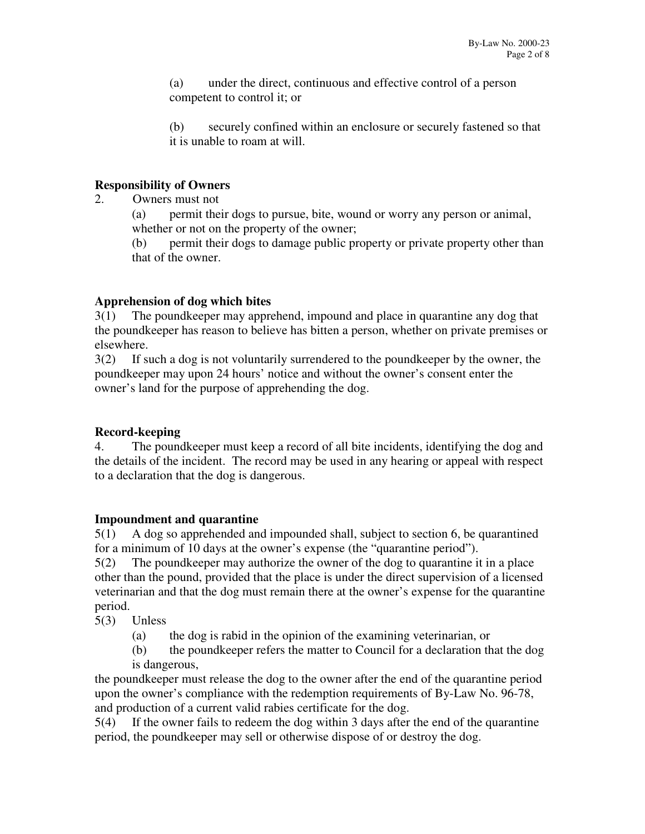(a) under the direct, continuous and effective control of a person competent to control it; or

(b) securely confined within an enclosure or securely fastened so that it is unable to roam at will.

## **Responsibility of Owners**

2. Owners must not

(a) permit their dogs to pursue, bite, wound or worry any person or animal, whether or not on the property of the owner;

(b) permit their dogs to damage public property or private property other than that of the owner.

# **Apprehension of dog which bites**

3(1) The poundkeeper may apprehend, impound and place in quarantine any dog that the poundkeeper has reason to believe has bitten a person, whether on private premises or elsewhere.

3(2) If such a dog is not voluntarily surrendered to the poundkeeper by the owner, the poundkeeper may upon 24 hours' notice and without the owner's consent enter the owner's land for the purpose of apprehending the dog.

# **Record-keeping**

4. The poundkeeper must keep a record of all bite incidents, identifying the dog and the details of the incident. The record may be used in any hearing or appeal with respect to a declaration that the dog is dangerous.

# **Impoundment and quarantine**

5(1) A dog so apprehended and impounded shall, subject to section 6, be quarantined for a minimum of 10 days at the owner's expense (the "quarantine period").

5(2) The poundkeeper may authorize the owner of the dog to quarantine it in a place other than the pound, provided that the place is under the direct supervision of a licensed veterinarian and that the dog must remain there at the owner's expense for the quarantine period.

5(3) Unless

- (a) the dog is rabid in the opinion of the examining veterinarian, or
- (b) the poundkeeper refers the matter to Council for a declaration that the dog is dangerous,

the poundkeeper must release the dog to the owner after the end of the quarantine period upon the owner's compliance with the redemption requirements of By-Law No. 96-78, and production of a current valid rabies certificate for the dog.

5(4) If the owner fails to redeem the dog within 3 days after the end of the quarantine period, the poundkeeper may sell or otherwise dispose of or destroy the dog.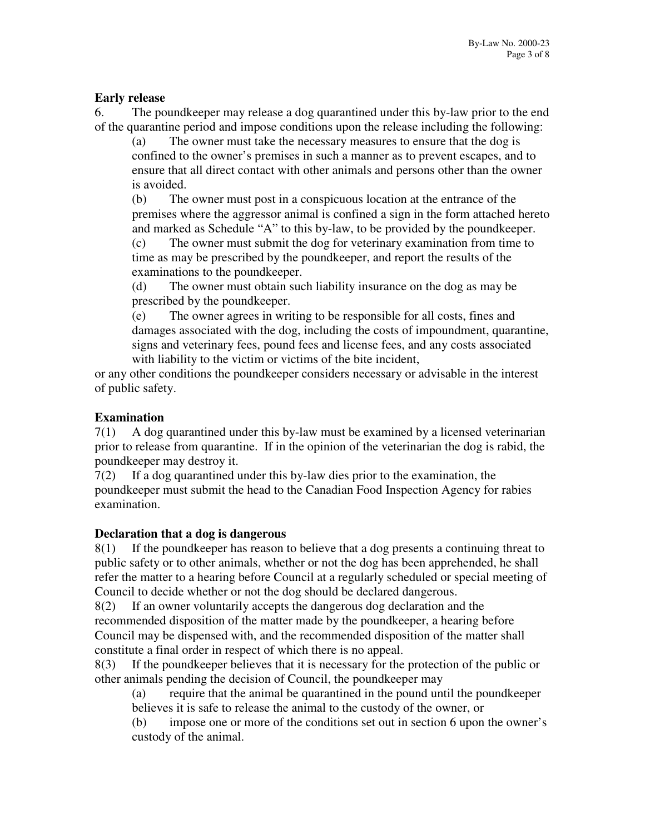## **Early release**

6. The poundkeeper may release a dog quarantined under this by-law prior to the end of the quarantine period and impose conditions upon the release including the following:

 (a) The owner must take the necessary measures to ensure that the dog is confined to the owner's premises in such a manner as to prevent escapes, and to ensure that all direct contact with other animals and persons other than the owner is avoided.

 (b) The owner must post in a conspicuous location at the entrance of the premises where the aggressor animal is confined a sign in the form attached hereto and marked as Schedule "A" to this by-law, to be provided by the poundkeeper.

 (c) The owner must submit the dog for veterinary examination from time to time as may be prescribed by the poundkeeper, and report the results of the examinations to the poundkeeper.

 (d) The owner must obtain such liability insurance on the dog as may be prescribed by the poundkeeper.

 (e) The owner agrees in writing to be responsible for all costs, fines and damages associated with the dog, including the costs of impoundment, quarantine, signs and veterinary fees, pound fees and license fees, and any costs associated with liability to the victim or victims of the bite incident,

or any other conditions the poundkeeper considers necessary or advisable in the interest of public safety.

## **Examination**

7(1) A dog quarantined under this by-law must be examined by a licensed veterinarian prior to release from quarantine. If in the opinion of the veterinarian the dog is rabid, the poundkeeper may destroy it.

7(2) If a dog quarantined under this by-law dies prior to the examination, the poundkeeper must submit the head to the Canadian Food Inspection Agency for rabies examination.

### **Declaration that a dog is dangerous**

8(1) If the poundkeeper has reason to believe that a dog presents a continuing threat to public safety or to other animals, whether or not the dog has been apprehended, he shall refer the matter to a hearing before Council at a regularly scheduled or special meeting of Council to decide whether or not the dog should be declared dangerous.

8(2) If an owner voluntarily accepts the dangerous dog declaration and the recommended disposition of the matter made by the poundkeeper, a hearing before Council may be dispensed with, and the recommended disposition of the matter shall constitute a final order in respect of which there is no appeal.

8(3) If the poundkeeper believes that it is necessary for the protection of the public or other animals pending the decision of Council, the poundkeeper may

 (a) require that the animal be quarantined in the pound until the poundkeeper believes it is safe to release the animal to the custody of the owner, or

 (b) impose one or more of the conditions set out in section 6 upon the owner's custody of the animal.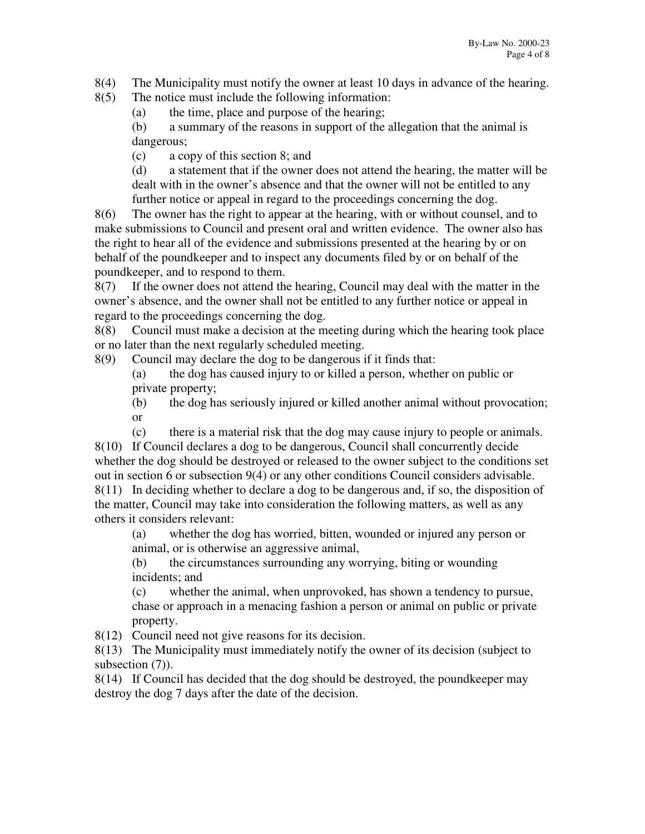8(4) The Municipality must notify the owner at least 10 days in advance of the hearing.

8(5) The notice must include the following information:

(a) the time, place and purpose of the hearing;

 (b) a summary of the reasons in support of the allegation that the animal is dangerous;

(c) a copy of this section 8; and

 (d) a statement that if the owner does not attend the hearing, the matter will be dealt with in the owner's absence and that the owner will not be entitled to any further notice or appeal in regard to the proceedings concerning the dog.

8(6) The owner has the right to appear at the hearing, with or without counsel, and to make submissions to Council and present oral and written evidence. The owner also has the right to hear all of the evidence and submissions presented at the hearing by or on behalf of the poundkeeper and to inspect any documents filed by or on behalf of the poundkeeper, and to respond to them.

8(7) If the owner does not attend the hearing, Council may deal with the matter in the owner's absence, and the owner shall not be entitled to any further notice or appeal in regard to the proceedings concerning the dog.

8(8) Council must make a decision at the meeting during which the hearing took place or no later than the next regularly scheduled meeting.

8(9) Council may declare the dog to be dangerous if it finds that:

 (a) the dog has caused injury to or killed a person, whether on public or private property;

 (b) the dog has seriously injured or killed another animal without provocation; or

 (c) there is a material risk that the dog may cause injury to people or animals. 8(10) If Council declares a dog to be dangerous, Council shall concurrently decide whether the dog should be destroyed or released to the owner subject to the conditions set out in section 6 or subsection 9(4) or any other conditions Council considers advisable. 8(11) In deciding whether to declare a dog to be dangerous and, if so, the disposition of the matter, Council may take into consideration the following matters, as well as any others it considers relevant:

 (a) whether the dog has worried, bitten, wounded or injured any person or animal, or is otherwise an aggressive animal,

 (b) the circumstances surrounding any worrying, biting or wounding incidents; and

 (c) whether the animal, when unprovoked, has shown a tendency to pursue, chase or approach in a menacing fashion a person or animal on public or private property.

8(12) Council need not give reasons for its decision.

8(13) The Municipality must immediately notify the owner of its decision (subject to subsection  $(7)$ ).

8(14) If Council has decided that the dog should be destroyed, the poundkeeper may destroy the dog 7 days after the date of the decision.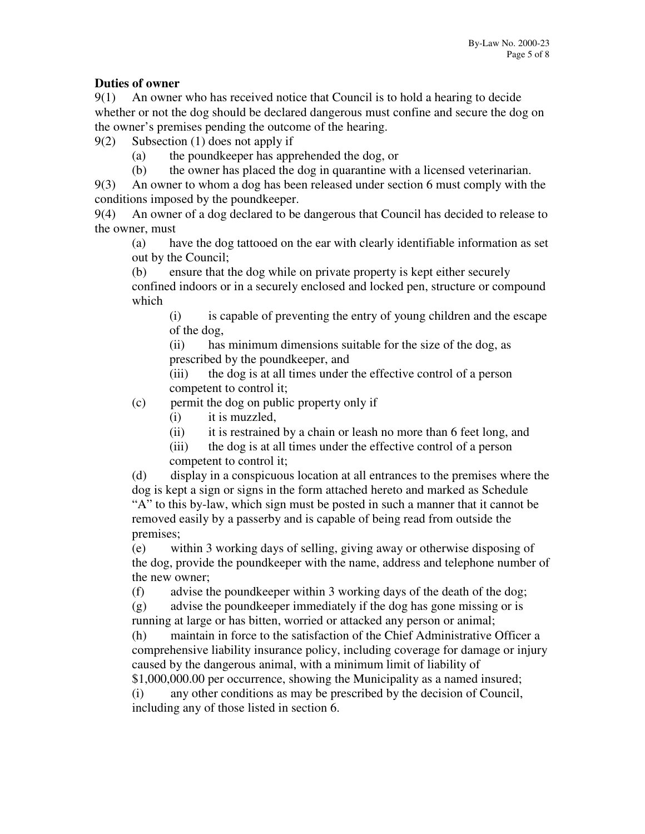# **Duties of owner**

9(1) An owner who has received notice that Council is to hold a hearing to decide whether or not the dog should be declared dangerous must confine and secure the dog on the owner's premises pending the outcome of the hearing.

9(2) Subsection (1) does not apply if

- (a) the poundkeeper has apprehended the dog, or
- (b) the owner has placed the dog in quarantine with a licensed veterinarian.

9(3) An owner to whom a dog has been released under section 6 must comply with the conditions imposed by the poundkeeper.

9(4) An owner of a dog declared to be dangerous that Council has decided to release to the owner, must

 (a) have the dog tattooed on the ear with clearly identifiable information as set out by the Council;

 (b) ensure that the dog while on private property is kept either securely confined indoors or in a securely enclosed and locked pen, structure or compound which

 (i) is capable of preventing the entry of young children and the escape of the dog,

 (ii) has minimum dimensions suitable for the size of the dog, as prescribed by the poundkeeper, and

 (iii) the dog is at all times under the effective control of a person competent to control it;

(c) permit the dog on public property only if

- (i) it is muzzled,
- (ii) it is restrained by a chain or leash no more than 6 feet long, and

 (iii) the dog is at all times under the effective control of a person competent to control it;

 (d) display in a conspicuous location at all entrances to the premises where the dog is kept a sign or signs in the form attached hereto and marked as Schedule "A" to this by-law, which sign must be posted in such a manner that it cannot be removed easily by a passerby and is capable of being read from outside the premises;

 (e) within 3 working days of selling, giving away or otherwise disposing of the dog, provide the poundkeeper with the name, address and telephone number of the new owner;

(f) advise the poundkeeper within 3 working days of the death of the dog;

 (g) advise the poundkeeper immediately if the dog has gone missing or is running at large or has bitten, worried or attacked any person or animal;

 (h) maintain in force to the satisfaction of the Chief Administrative Officer a comprehensive liability insurance policy, including coverage for damage or injury caused by the dangerous animal, with a minimum limit of liability of

\$1,000,000.00 per occurrence, showing the Municipality as a named insured; (i) any other conditions as may be prescribed by the decision of Council, including any of those listed in section 6.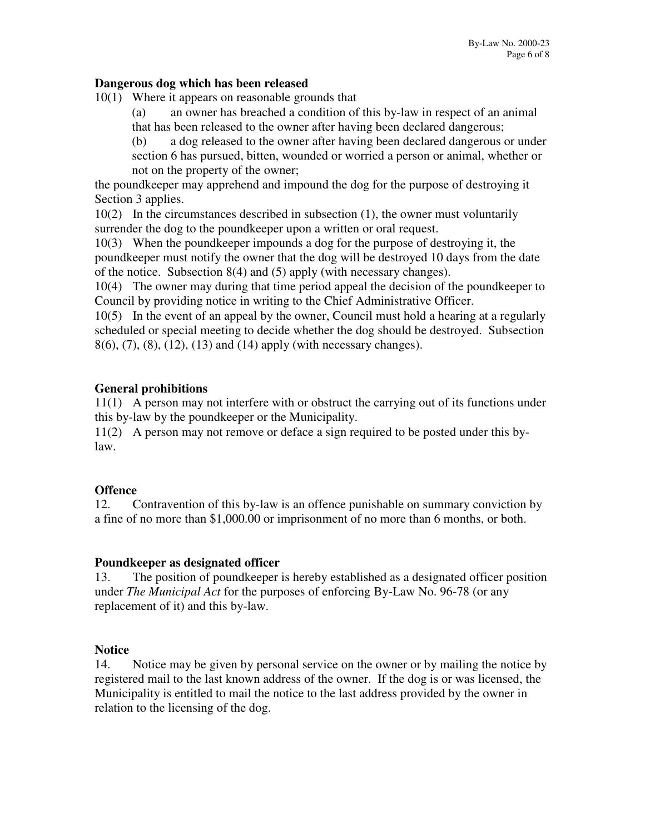### **Dangerous dog which has been released**

10(1) Where it appears on reasonable grounds that

 (a) an owner has breached a condition of this by-law in respect of an animal that has been released to the owner after having been declared dangerous;

 (b) a dog released to the owner after having been declared dangerous or under section 6 has pursued, bitten, wounded or worried a person or animal, whether or not on the property of the owner;

the poundkeeper may apprehend and impound the dog for the purpose of destroying it Section 3 applies.

10(2) In the circumstances described in subsection (1), the owner must voluntarily surrender the dog to the poundkeeper upon a written or oral request.

10(3) When the poundkeeper impounds a dog for the purpose of destroying it, the poundkeeper must notify the owner that the dog will be destroyed 10 days from the date of the notice. Subsection 8(4) and (5) apply (with necessary changes).

10(4) The owner may during that time period appeal the decision of the poundkeeper to Council by providing notice in writing to the Chief Administrative Officer.

10(5) In the event of an appeal by the owner, Council must hold a hearing at a regularly scheduled or special meeting to decide whether the dog should be destroyed. Subsection 8(6), (7), (8), (12), (13) and (14) apply (with necessary changes).

### **General prohibitions**

11(1) A person may not interfere with or obstruct the carrying out of its functions under this by-law by the poundkeeper or the Municipality.

11(2) A person may not remove or deface a sign required to be posted under this bylaw.

### **Offence**

12. Contravention of this by-law is an offence punishable on summary conviction by a fine of no more than \$1,000.00 or imprisonment of no more than 6 months, or both.

### **Poundkeeper as designated officer**

13. The position of poundkeeper is hereby established as a designated officer position under *The Municipal Act* for the purposes of enforcing By-Law No. 96-78 (or any replacement of it) and this by-law.

### **Notice**

14. Notice may be given by personal service on the owner or by mailing the notice by registered mail to the last known address of the owner. If the dog is or was licensed, the Municipality is entitled to mail the notice to the last address provided by the owner in relation to the licensing of the dog.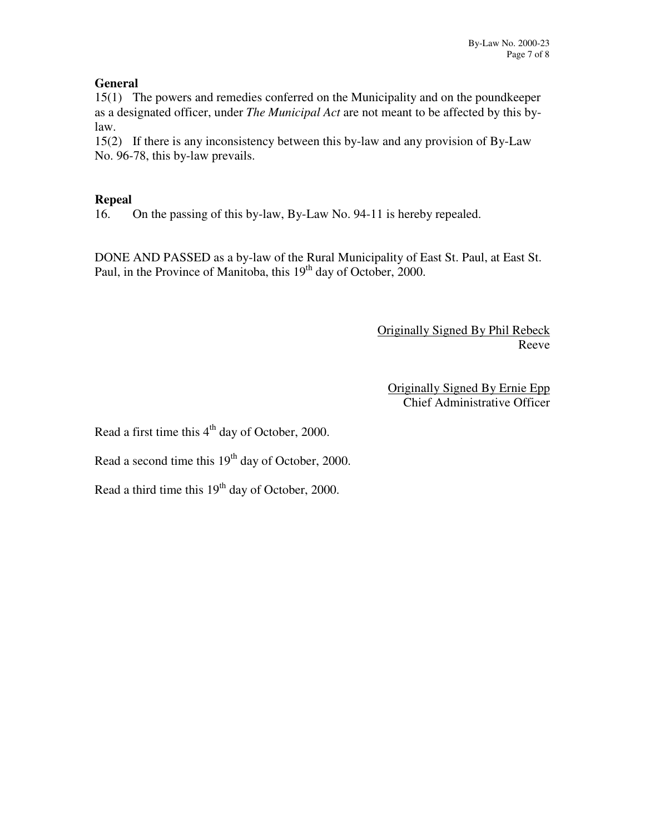## **General**

15(1) The powers and remedies conferred on the Municipality and on the poundkeeper as a designated officer, under *The Municipal Act* are not meant to be affected by this bylaw.

15(2) If there is any inconsistency between this by-law and any provision of By-Law No. 96-78, this by-law prevails.

## **Repeal**

16. On the passing of this by-law, By-Law No. 94-11 is hereby repealed.

DONE AND PASSED as a by-law of the Rural Municipality of East St. Paul, at East St. Paul, in the Province of Manitoba, this 19<sup>th</sup> day of October, 2000.

> Originally Signed By Phil Rebeck Reeve

Originally Signed By Ernie Epp Chief Administrative Officer

Read a first time this  $4<sup>th</sup>$  day of October, 2000.

Read a second time this  $19<sup>th</sup>$  day of October, 2000.

Read a third time this  $19<sup>th</sup>$  day of October, 2000.